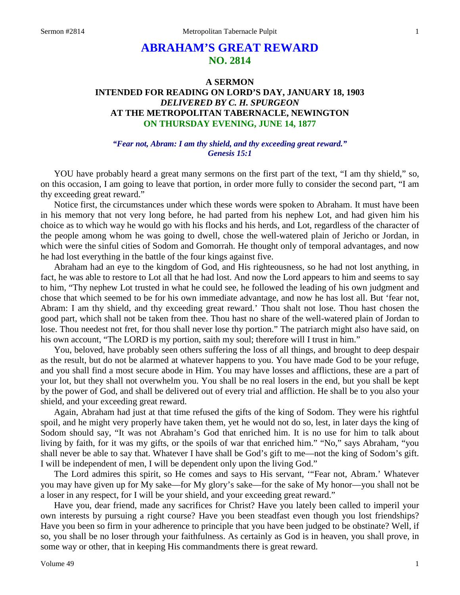# **ABRAHAM'S GREAT REWARD NO. 2814**

## **A SERMON INTENDED FOR READING ON LORD'S DAY, JANUARY 18, 1903** *DELIVERED BY C. H. SPURGEON* **AT THE METROPOLITAN TABERNACLE, NEWINGTON ON THURSDAY EVENING, JUNE 14, 1877**

### *"Fear not, Abram: I am thy shield, and thy exceeding great reward." Genesis 15:1*

YOU have probably heard a great many sermons on the first part of the text, "I am thy shield," so, on this occasion, I am going to leave that portion, in order more fully to consider the second part, "I am thy exceeding great reward."

Notice first, the circumstances under which these words were spoken to Abraham. It must have been in his memory that not very long before, he had parted from his nephew Lot, and had given him his choice as to which way he would go with his flocks and his herds, and Lot, regardless of the character of the people among whom he was going to dwell, chose the well-watered plain of Jericho or Jordan, in which were the sinful cities of Sodom and Gomorrah. He thought only of temporal advantages, and now he had lost everything in the battle of the four kings against five.

Abraham had an eye to the kingdom of God, and His righteousness, so he had not lost anything, in fact, he was able to restore to Lot all that he had lost. And now the Lord appears to him and seems to say to him, "Thy nephew Lot trusted in what he could see, he followed the leading of his own judgment and chose that which seemed to be for his own immediate advantage, and now he has lost all. But 'fear not, Abram: I am thy shield, and thy exceeding great reward.' Thou shalt not lose. Thou hast chosen the good part, which shall not be taken from thee. Thou hast no share of the well-watered plain of Jordan to lose. Thou needest not fret, for thou shall never lose thy portion." The patriarch might also have said, on his own account, "The LORD is my portion, saith my soul; therefore will I trust in him."

You, beloved, have probably seen others suffering the loss of all things, and brought to deep despair as the result, but do not be alarmed at whatever happens to you. You have made God to be your refuge, and you shall find a most secure abode in Him. You may have losses and afflictions, these are a part of your lot, but they shall not overwhelm you. You shall be no real losers in the end, but you shall be kept by the power of God, and shall be delivered out of every trial and affliction. He shall be to you also your shield, and your exceeding great reward.

Again, Abraham had just at that time refused the gifts of the king of Sodom. They were his rightful spoil, and he might very properly have taken them, yet he would not do so, lest, in later days the king of Sodom should say, "It was not Abraham's God that enriched him. It is no use for him to talk about living by faith, for it was my gifts, or the spoils of war that enriched him." "No," says Abraham, "you shall never be able to say that. Whatever I have shall be God's gift to me—not the king of Sodom's gift. I will be independent of men, I will be dependent only upon the living God."

The Lord admires this spirit, so He comes and says to His servant, '"Fear not, Abram.' Whatever you may have given up for My sake—for My glory's sake—for the sake of My honor—you shall not be a loser in any respect, for I will be your shield, and your exceeding great reward."

Have you, dear friend, made any sacrifices for Christ? Have you lately been called to imperil your own interests by pursuing a right course? Have you been steadfast even though you lost friendships? Have you been so firm in your adherence to principle that you have been judged to be obstinate? Well, if so, you shall be no loser through your faithfulness. As certainly as God is in heaven, you shall prove, in some way or other, that in keeping His commandments there is great reward.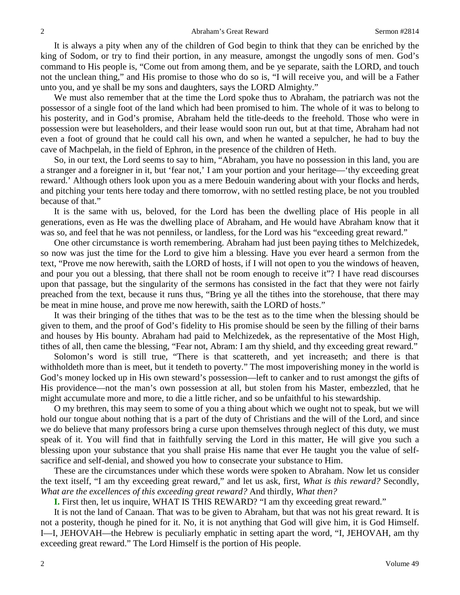It is always a pity when any of the children of God begin to think that they can be enriched by the king of Sodom, or try to find their portion, in any measure, amongst the ungodly sons of men. God's command to His people is, "Come out from among them, and be ye separate, saith the LORD, and touch not the unclean thing," and His promise to those who do so is, "I will receive you, and will be a Father unto you, and ye shall be my sons and daughters, says the LORD Almighty."

We must also remember that at the time the Lord spoke thus to Abraham, the patriarch was not the possessor of a single foot of the land which had been promised to him. The whole of it was to belong to his posterity, and in God's promise, Abraham held the title-deeds to the freehold. Those who were in possession were but leaseholders, and their lease would soon run out, but at that time, Abraham had not even a foot of ground that he could call his own, and when he wanted a sepulcher, he had to buy the cave of Machpelah, in the field of Ephron, in the presence of the children of Heth.

So, in our text, the Lord seems to say to him, "Abraham, you have no possession in this land, you are a stranger and a foreigner in it, but 'fear not,' I am your portion and your heritage—'thy exceeding great reward.' Although others look upon you as a mere Bedouin wandering about with your flocks and herds, and pitching your tents here today and there tomorrow, with no settled resting place, be not you troubled because of that."

It is the same with us, beloved, for the Lord has been the dwelling place of His people in all generations, even as He was the dwelling place of Abraham, and He would have Abraham know that it was so, and feel that he was not penniless, or landless, for the Lord was his "exceeding great reward."

One other circumstance is worth remembering. Abraham had just been paying tithes to Melchizedek, so now was just the time for the Lord to give him a blessing. Have you ever heard a sermon from the text, "Prove me now herewith, saith the LORD of hosts, if I will not open to you the windows of heaven, and pour you out a blessing, that there shall not be room enough to receive it"? I have read discourses upon that passage, but the singularity of the sermons has consisted in the fact that they were not fairly preached from the text, because it runs thus, "Bring ye all the tithes into the storehouse, that there may be meat in mine house, and prove me now herewith, saith the LORD of hosts."

It was their bringing of the tithes that was to be the test as to the time when the blessing should be given to them, and the proof of God's fidelity to His promise should be seen by the filling of their barns and houses by His bounty. Abraham had paid to Melchizedek, as the representative of the Most High, tithes of all, then came the blessing, "Fear not, Abram: I am thy shield, and thy exceeding great reward."

Solomon's word is still true, "There is that scattereth, and yet increaseth; and there is that withholdeth more than is meet, but it tendeth to poverty." The most impoverishing money in the world is God's money locked up in His own steward's possession—left to canker and to rust amongst the gifts of His providence—not the man's own possession at all, but stolen from his Master, embezzled, that he might accumulate more and more, to die a little richer, and so be unfaithful to his stewardship.

O my brethren, this may seem to some of you a thing about which we ought not to speak, but we will hold our tongue about nothing that is a part of the duty of Christians and the will of the Lord, and since we do believe that many professors bring a curse upon themselves through neglect of this duty, we must speak of it. You will find that in faithfully serving the Lord in this matter, He will give you such a blessing upon your substance that you shall praise His name that ever He taught you the value of selfsacrifice and self-denial, and showed you how to consecrate your substance to Him.

These are the circumstances under which these words were spoken to Abraham. Now let us consider the text itself, "I am thy exceeding great reward," and let us ask, first, *What is this reward?* Secondly, *What are the excellences of this exceeding great reward?* And thirdly, *What then?* 

**I.** First then, let us inquire, WHAT IS THIS REWARD? "I am thy exceeding great reward."

It is not the land of Canaan. That was to be given to Abraham, but that was not his great reward. It is not a posterity, though he pined for it. No, it is not anything that God will give him, it is God Himself. I—I, JEHOVAH—the Hebrew is peculiarly emphatic in setting apart the word, "I, JEHOVAH, am thy exceeding great reward." The Lord Himself is the portion of His people.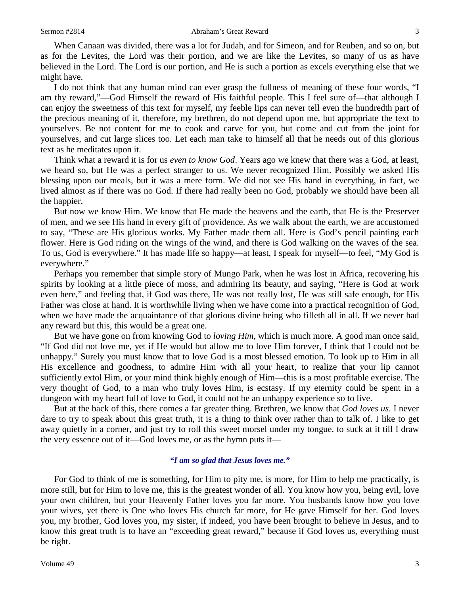When Canaan was divided, there was a lot for Judah, and for Simeon, and for Reuben, and so on, but as for the Levites, the Lord was their portion, and we are like the Levites, so many of us as have believed in the Lord. The Lord is our portion, and He is such a portion as excels everything else that we might have.

I do not think that any human mind can ever grasp the fullness of meaning of these four words, "I am thy reward,"—God Himself the reward of His faithful people. This I feel sure of—that although I can enjoy the sweetness of this text for myself, my feeble lips can never tell even the hundredth part of the precious meaning of it, therefore, my brethren, do not depend upon me, but appropriate the text to yourselves. Be not content for me to cook and carve for you, but come and cut from the joint for yourselves, and cut large slices too. Let each man take to himself all that he needs out of this glorious text as he meditates upon it.

Think what a reward it is for us *even to know God*. Years ago we knew that there was a God, at least, we heard so, but He was a perfect stranger to us. We never recognized Him. Possibly we asked His blessing upon our meals, but it was a mere form. We did not see His hand in everything, in fact, we lived almost as if there was no God. If there had really been no God, probably we should have been all the happier.

But now we know Him. We know that He made the heavens and the earth, that He is the Preserver of men, and we see His hand in every gift of providence. As we walk about the earth, we are accustomed to say, "These are His glorious works. My Father made them all. Here is God's pencil painting each flower. Here is God riding on the wings of the wind, and there is God walking on the waves of the sea. To us, God is everywhere." It has made life so happy—at least, I speak for myself—to feel, "My God is everywhere."

Perhaps you remember that simple story of Mungo Park, when he was lost in Africa, recovering his spirits by looking at a little piece of moss, and admiring its beauty, and saying, "Here is God at work even here," and feeling that, if God was there, He was not really lost, He was still safe enough, for His Father was close at hand. It is worthwhile living when we have come into a practical recognition of God, when we have made the acquaintance of that glorious divine being who filleth all in all. If we never had any reward but this, this would be a great one.

But we have gone on from knowing God to *loving Him*, which is much more. A good man once said, "If God did not love me, yet if He would but allow me to love Him forever, I think that I could not be unhappy." Surely you must know that to love God is a most blessed emotion. To look up to Him in all His excellence and goodness, to admire Him with all your heart, to realize that your lip cannot sufficiently extol Him, or your mind think highly enough of Him—this is a most profitable exercise. The very thought of God, to a man who truly loves Him, is ecstasy. If my eternity could be spent in a dungeon with my heart full of love to God, it could not be an unhappy experience so to live.

But at the back of this, there comes a far greater thing. Brethren, we know that *God loves us*. I never dare to try to speak about this great truth, it is a thing to think over rather than to talk of. I like to get away quietly in a corner, and just try to roll this sweet morsel under my tongue, to suck at it till I draw the very essence out of it—God loves me, or as the hymn puts it—

## *"I am so glad that Jesus loves me."*

For God to think of me is something, for Him to pity me, is more, for Him to help me practically, is more still, but for Him to love me, this is the greatest wonder of all. You know how you, being evil, love your own children, but your Heavenly Father loves you far more. You husbands know how you love your wives, yet there is One who loves His church far more, for He gave Himself for her. God loves you, my brother, God loves you, my sister, if indeed, you have been brought to believe in Jesus, and to know this great truth is to have an "exceeding great reward," because if God loves us, everything must be right.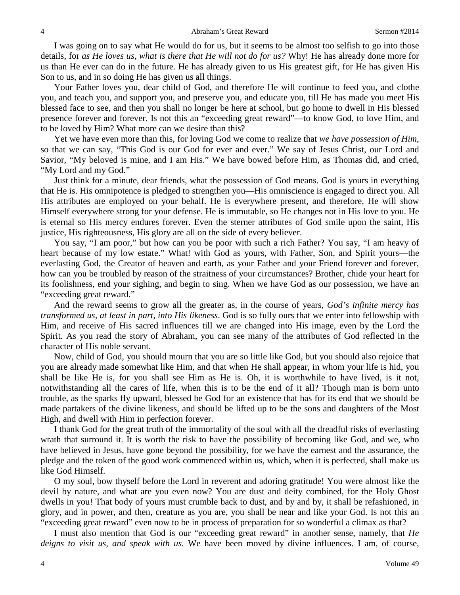I was going on to say what He would do for us, but it seems to be almost too selfish to go into those details, for *as He loves us, what is there that He will not do for us?* Why! He has already done more for us than He ever can do in the future. He has already given to us His greatest gift, for He has given His Son to us, and in so doing He has given us all things.

Your Father loves you, dear child of God, and therefore He will continue to feed you, and clothe you, and teach you, and support you, and preserve you, and educate you, till He has made you meet His blessed face to see, and then you shall no longer be here at school, but go home to dwell in His blessed presence forever and forever. Is not this an "exceeding great reward"—to know God, to love Him, and to be loved by Him? What more can we desire than this?

Yet we have even more than this, for loving God we come to realize that *we have possession of Him*, so that we can say, "This God is our God for ever and ever." We say of Jesus Christ, our Lord and Savior, "My beloved is mine, and I am His." We have bowed before Him, as Thomas did, and cried, "My Lord and my God."

Just think for a minute, dear friends, what the possession of God means. God is yours in everything that He is. His omnipotence is pledged to strengthen you—His omniscience is engaged to direct you. All His attributes are employed on your behalf. He is everywhere present, and therefore, He will show Himself everywhere strong for your defense. He is immutable, so He changes not in His love to you. He is eternal so His mercy endures forever. Even the sterner attributes of God smile upon the saint, His justice, His righteousness, His glory are all on the side of every believer.

You say, "I am poor," but how can you be poor with such a rich Father? You say, "I am heavy of heart because of my low estate." What! with God as yours, with Father, Son, and Spirit yours—the everlasting God, the Creator of heaven and earth, as your Father and your Friend forever and forever, how can you be troubled by reason of the straitness of your circumstances? Brother, chide your heart for its foolishness, end your sighing, and begin to sing. When we have God as our possession, we have an "exceeding great reward."

And the reward seems to grow all the greater as, in the course of years, *God's infinite mercy has transformed us, at least in part, into His likeness*. God is so fully ours that we enter into fellowship with Him, and receive of His sacred influences till we are changed into His image, even by the Lord the Spirit. As you read the story of Abraham, you can see many of the attributes of God reflected in the character of His noble servant.

Now, child of God, you should mourn that you are so little like God, but you should also rejoice that you are already made somewhat like Him, and that when He shall appear, in whom your life is hid, you shall be like He is, for you shall see Him as He is. Oh, it is worthwhile to have lived, is it not, notwithstanding all the cares of life, when this is to be the end of it all? Though man is born unto trouble, as the sparks fly upward, blessed be God for an existence that has for its end that we should be made partakers of the divine likeness, and should be lifted up to be the sons and daughters of the Most High, and dwell with Him in perfection forever.

I thank God for the great truth of the immortality of the soul with all the dreadful risks of everlasting wrath that surround it. It is worth the risk to have the possibility of becoming like God, and we, who have believed in Jesus, have gone beyond the possibility, for we have the earnest and the assurance, the pledge and the token of the good work commenced within us, which, when it is perfected, shall make us like God Himself.

O my soul, bow thyself before the Lord in reverent and adoring gratitude! You were almost like the devil by nature, and what are you even now? You are dust and deity combined, for the Holy Ghost dwells in you! That body of yours must crumble back to dust, and by and by, it shall be refashioned, in glory, and in power, and then, creature as you are, you shall be near and like your God. Is not this an "exceeding great reward" even now to be in process of preparation for so wonderful a climax as that?

I must also mention that God is our "exceeding great reward" in another sense, namely, that *He deigns to visit us, and speak with us.* We have been moved by divine influences. I am, of course,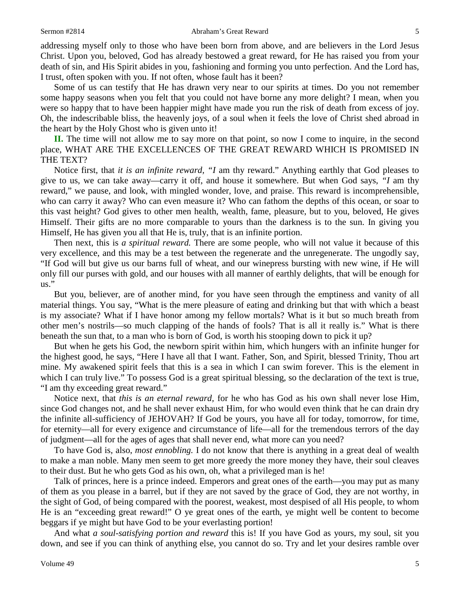#### Sermon #2814 **Abraham's Great Reward** 5

addressing myself only to those who have been born from above, and are believers in the Lord Jesus Christ. Upon you, beloved, God has already bestowed a great reward, for He has raised you from your death of sin, and His Spirit abides in you, fashioning and forming you unto perfection. And the Lord has, I trust, often spoken with you. If not often, whose fault has it been?

Some of us can testify that He has drawn very near to our spirits at times. Do you not remember some happy seasons when you felt that you could not have borne any more delight? I mean, when you were so happy that to have been happier might have made you run the risk of death from excess of joy. Oh, the indescribable bliss, the heavenly joys, of a soul when it feels the love of Christ shed abroad in the heart by the Holy Ghost who is given unto it!

**II.** The time will not allow me to say more on that point, so now I come to inquire, in the second place, WHAT ARE THE EXCELLENCES OF THE GREAT REWARD WHICH IS PROMISED IN THE TEXT?

Notice first, that *it is an infinite reward, "I* am thy reward." Anything earthly that God pleases to give to us, we can take away—carry it off, and house it somewhere. But when God says, *"I* am thy reward," we pause, and look, with mingled wonder, love, and praise. This reward is incomprehensible, who can carry it away? Who can even measure it? Who can fathom the depths of this ocean, or soar to this vast height? God gives to other men health, wealth, fame, pleasure, but to you, beloved, He gives Himself. Their gifts are no more comparable to yours than the darkness is to the sun. In giving you Himself, He has given you all that He is, truly, that is an infinite portion.

Then next, this is *a spiritual reward.* There are some people, who will not value it because of this very excellence, and this may be a test between the regenerate and the unregenerate. The ungodly say, "If God will but give us our barns full of wheat, and our winepress bursting with new wine, if He will only fill our purses with gold, and our houses with all manner of earthly delights, that will be enough for us."

But you, believer, are of another mind, for you have seen through the emptiness and vanity of all material things. You say, "What is the mere pleasure of eating and drinking but that with which a beast is my associate? What if I have honor among my fellow mortals? What is it but so much breath from other men's nostrils—so much clapping of the hands of fools? That is all it really is." What is there beneath the sun that, to a man who is born of God, is worth his stooping down to pick it up?

But when he gets his God, the newborn spirit within him, which hungers with an infinite hunger for the highest good, he says, "Here I have all that I want. Father, Son, and Spirit, blessed Trinity, Thou art mine. My awakened spirit feels that this is a sea in which I can swim forever. This is the element in which I can truly live." To possess God is a great spiritual blessing, so the declaration of the text is true, "I am thy exceeding great reward."

Notice next, that *this is an eternal reward,* for he who has God as his own shall never lose Him, since God changes not, and he shall never exhaust Him, for who would even think that he can drain dry the infinite all-sufficiency of JEHOVAH? If God be yours, you have all for today, tomorrow, for time, for eternity—all for every exigence and circumstance of life—all for the tremendous terrors of the day of judgment—all for the ages of ages that shall never end, what more can you need?

To have God is, also, *most ennobling.* I do not know that there is anything in a great deal of wealth to make a man noble. Many men seem to get more greedy the more money they have, their soul cleaves to their dust. But he who gets God as his own, oh, what a privileged man is he!

Talk of princes, here is a prince indeed. Emperors and great ones of the earth—you may put as many of them as you please in a barrel, but if they are not saved by the grace of God, they are not worthy, in the sight of God, of being compared with the poorest, weakest, most despised of all His people, to whom He is an "exceeding great reward!" O ye great ones of the earth, ye might well be content to become beggars if ye might but have God to be your everlasting portion!

And what *a soul-satisfying portion and reward* this is! If you have God as yours, my soul, sit you down, and see if you can think of anything else, you cannot do so. Try and let your desires ramble over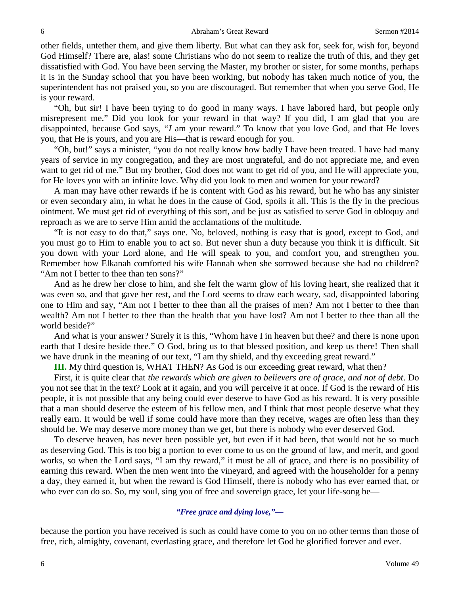other fields, untether them, and give them liberty. But what can they ask for, seek for, wish for, beyond God Himself? There are, alas! some Christians who do not seem to realize the truth of this, and they get dissatisfied with God. You have been serving the Master, my brother or sister, for some months, perhaps it is in the Sunday school that you have been working, but nobody has taken much notice of you, the superintendent has not praised you, so you are discouraged. But remember that when you serve God, He is your reward.

"Oh, but sir! I have been trying to do good in many ways. I have labored hard, but people only misrepresent me." Did you look for your reward in that way? If you did, I am glad that you are disappointed, because God says, *"I* am your reward." To know that you love God, and that He loves you, that He is yours, and you are His—that is reward enough for you.

"Oh, but!" says a minister, "you do not really know how badly I have been treated. I have had many years of service in my congregation, and they are most ungrateful, and do not appreciate me, and even want to get rid of me." But my brother, God does not want to get rid of you, and He will appreciate you, for He loves you with an infinite love. Why did you look to men and women for your reward?

A man may have other rewards if he is content with God as his reward, but he who has any sinister or even secondary aim, in what he does in the cause of God, spoils it all. This is the fly in the precious ointment. We must get rid of everything of this sort, and be just as satisfied to serve God in obloquy and reproach as we are to serve Him amid the acclamations of the multitude.

"It is not easy to do that," says one. No, beloved, nothing is easy that is good, except to God, and you must go to Him to enable you to act so. But never shun a duty because you think it is difficult. Sit you down with your Lord alone, and He will speak to you, and comfort you, and strengthen you. Remember how Elkanah comforted his wife Hannah when she sorrowed because she had no children? "Am not I better to thee than ten sons?"

And as he drew her close to him, and she felt the warm glow of his loving heart, she realized that it was even so, and that gave her rest, and the Lord seems to draw each weary, sad, disappointed laboring one to Him and say, "Am not I better to thee than all the praises of men? Am not I better to thee than wealth? Am not I better to thee than the health that you have lost? Am not I better to thee than all the world beside?"

And what is your answer? Surely it is this, "Whom have I in heaven but thee? and there is none upon earth that I desire beside thee." O God, bring us to that blessed position, and keep us there! Then shall we have drunk in the meaning of our text, "I am thy shield, and thy exceeding great reward."

**III.** My third question is, WHAT THEN? As God is our exceeding great reward, what then?

First, it is quite clear that *the rewards which are given to believers are of grace, and not of debt*. Do you not see that in the text? Look at it again, and you will perceive it at once. If God is the reward of His people, it is not possible that any being could ever deserve to have God as his reward. It is very possible that a man should deserve the esteem of his fellow men, and I think that most people deserve what they really earn. It would be well if some could have more than they receive, wages are often less than they should be. We may deserve more money than we get, but there is nobody who ever deserved God.

To deserve heaven, has never been possible yet, but even if it had been, that would not be so much as deserving God. This is too big a portion to ever come to us on the ground of law, and merit, and good works, so when the Lord says, "I am thy reward," it must be all of grace, and there is no possibility of earning this reward. When the men went into the vineyard, and agreed with the householder for a penny a day, they earned it, but when the reward is God Himself, there is nobody who has ever earned that, or who ever can do so. So, my soul, sing you of free and sovereign grace, let your life-song be—

## *"Free grace and dying love,"—*

because the portion you have received is such as could have come to you on no other terms than those of free, rich, almighty, covenant, everlasting grace, and therefore let God be glorified forever and ever.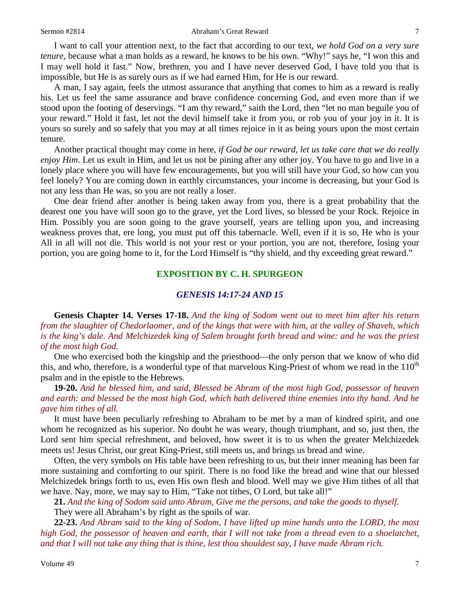I want to call your attention next, to the fact that according to our text, *we hold God on a very sure tenure,* because what a man holds as a reward, he knows to be his own. "Why!" says he, "I won this and I may well hold it fast." Now, brethren, you and I have never deserved God, I have told you that is impossible, but He is as surely ours as if we had earned Him, for He is our reward.

A man, I say again, feels the utmost assurance that anything that comes to him as a reward is really his. Let us feel the same assurance and brave confidence concerning God, and even more than if we stood upon the footing of deservings. "I am thy reward," saith the Lord, then "let no man beguile you of your reward." Hold it fast, let not the devil himself take it from you, or rob you of your joy in it. It is yours so surely and so safely that you may at all times rejoice in it as being yours upon the most certain tenure.

Another practical thought may come in here, *if God be our reward, let us take care that we do really enjoy Him*. Let us exult in Him, and let us not be pining after any other joy. You have to go and live in a lonely place where you will have few encouragements, but you will still have your God, so how can you feel lonely? You are coming down in earthly circumstances, your income is decreasing, but your God is not any less than He was, so you are not really a loser.

One dear friend after another is being taken away from you, there is a great probability that the dearest one you have will soon go to the grave, yet the Lord lives, so blessed be your Rock. Rejoice in Him. Possibly you are soon going to the grave yourself, years are telling upon you, and increasing weakness proves that, ere long, you must put off this tabernacle. Well, even if it is so, He who is your All in all will not die. This world is not your rest or your portion, you are not, therefore, losing your portion, you are going home to it, for the Lord Himself is "thy shield, and thy exceeding great reward."

## **EXPOSITION BY C. H. SPURGEON**

## *GENESIS 14:17-24 AND 15*

**Genesis Chapter 14. Verses 17-18.** *And the king of Sodom went out to meet him after his return from the slaughter of Chedorlaomer, and of the kings that were with him, at the valley of Shaveh, which is the king's dale. And Melchizedek king of Salem brought forth bread and wine: and he was the priest of the most high God.*

One who exercised both the kingship and the priesthood—the only person that we know of who did this, and who, therefore, is a wonderful type of that marvelous King-Priest of whom we read in the  $110<sup>th</sup>$ psalm and in the epistle to the Hebrews.

**19-20.** *And he blessed him, and said, Blessed be Abram of the most high God, possessor of heaven and earth: and blessed be the most high God, which hath delivered thine enemies into thy hand. And he gave him tithes of all.*

It must have been peculiarly refreshing to Abraham to be met by a man of kindred spirit, and one whom he recognized as his superior. No doubt he was weary, though triumphant, and so, just then, the Lord sent him special refreshment, and beloved, how sweet it is to us when the greater Melchizedek meets us! Jesus Christ, our great King-Priest, still meets us, and brings us bread and wine.

Often, the very symbols on His table have been refreshing to us, but their inner meaning has been far more sustaining and comforting to our spirit. There is no food like the bread and wine that our blessed Melchizedek brings forth to us, even His own flesh and blood. Well may we give Him tithes of all that we have. Nay, more, we may say to Him, "Take not tithes, O Lord, but take all!"

**21.** *And the king of Sodom said unto Abram, Give me the persons, and take the goods to thyself.*

They were all Abraham's by right as the spoils of war.

**22-23.** *And Abram said to the king of Sodom, I have lifted up mine hands unto the LORD, the most high God, the possessor of heaven and earth, that I will not take from a thread even to a shoelatchet, and that I will not take any thing that is thine, lest thou shouldest say, I have made Abram rich.*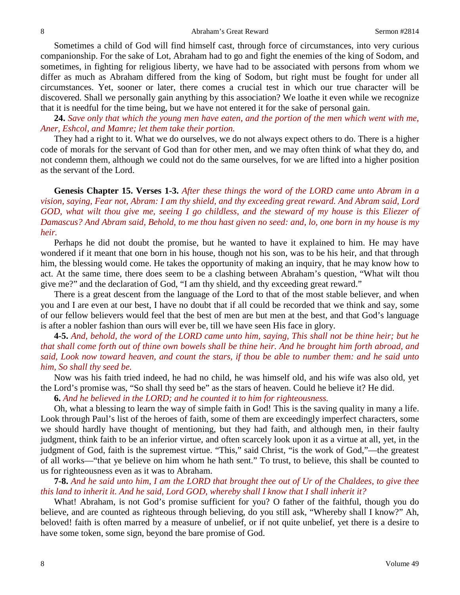Sometimes a child of God will find himself cast, through force of circumstances, into very curious companionship. For the sake of Lot, Abraham had to go and fight the enemies of the king of Sodom, and sometimes, in fighting for religious liberty, we have had to be associated with persons from whom we differ as much as Abraham differed from the king of Sodom, but right must be fought for under all circumstances. Yet, sooner or later, there comes a crucial test in which our true character will be discovered. Shall we personally gain anything by this association? We loathe it even while we recognize that it is needful for the time being, but we have not entered it for the sake of personal gain.

**24.** *Save only that which the young men have eaten, and the portion of the men which went with me, Aner, Eshcol, and Mamre; let them take their portion.*

They had a right to it. What we do ourselves, we do not always expect others to do. There is a higher code of morals for the servant of God than for other men, and we may often think of what they do, and not condemn them, although we could not do the same ourselves, for we are lifted into a higher position as the servant of the Lord.

**Genesis Chapter 15. Verses 1-3.** *After these things the word of the LORD came unto Abram in a vision, saying, Fear not, Abram: I am thy shield, and thy exceeding great reward. And Abram said, Lord GOD, what wilt thou give me, seeing I go childless, and the steward of my house is this Eliezer of Damascus? And Abram said, Behold, to me thou hast given no seed: and, lo, one born in my house is my heir.*

Perhaps he did not doubt the promise, but he wanted to have it explained to him. He may have wondered if it meant that one born in his house, though not his son, was to be his heir, and that through him, the blessing would come. He takes the opportunity of making an inquiry, that he may know how to act. At the same time, there does seem to be a clashing between Abraham's question, "What wilt thou give me?" and the declaration of God, "I am thy shield, and thy exceeding great reward."

There is a great descent from the language of the Lord to that of the most stable believer, and when you and I are even at our best, I have no doubt that if all could be recorded that we think and say, some of our fellow believers would feel that the best of men are but men at the best, and that God's language is after a nobler fashion than ours will ever be, till we have seen His face in glory.

**4-5.** *And, behold, the word of the LORD came unto him, saying, This shall not be thine heir; but he that shall come forth out of thine own bowels shall be thine heir. And he brought him forth abroad, and said, Look now toward heaven, and count the stars, if thou be able to number them: and he said unto him, So shall thy seed be.*

Now was his faith tried indeed, he had no child, he was himself old, and his wife was also old, yet the Lord's promise was, "So shall thy seed be" as the stars of heaven. Could he believe it? He did.

**6.** *And he believed in the LORD; and he counted it to him for righteousness.*

Oh, what a blessing to learn the way of simple faith in God! This is the saving quality in many a life. Look through Paul's list of the heroes of faith, some of them are exceedingly imperfect characters, some we should hardly have thought of mentioning, but they had faith, and although men, in their faulty judgment, think faith to be an inferior virtue, and often scarcely look upon it as a virtue at all, yet, in the judgment of God, faith is the supremest virtue. "This," said Christ, "is the work of God,"—the greatest of all works—"that ye believe on him whom he hath sent." To trust, to believe, this shall be counted to us for righteousness even as it was to Abraham.

**7-8.** *And he said unto him, I am the LORD that brought thee out of Ur of the Chaldees, to give thee this land to inherit it. And he said, Lord GOD, whereby shall I know that I shall inherit it?*

What! Abraham, is not God's promise sufficient for you? O father of the faithful, though you do believe, and are counted as righteous through believing, do you still ask, "Whereby shall I know?" Ah, beloved! faith is often marred by a measure of unbelief, or if not quite unbelief, yet there is a desire to have some token, some sign, beyond the bare promise of God.